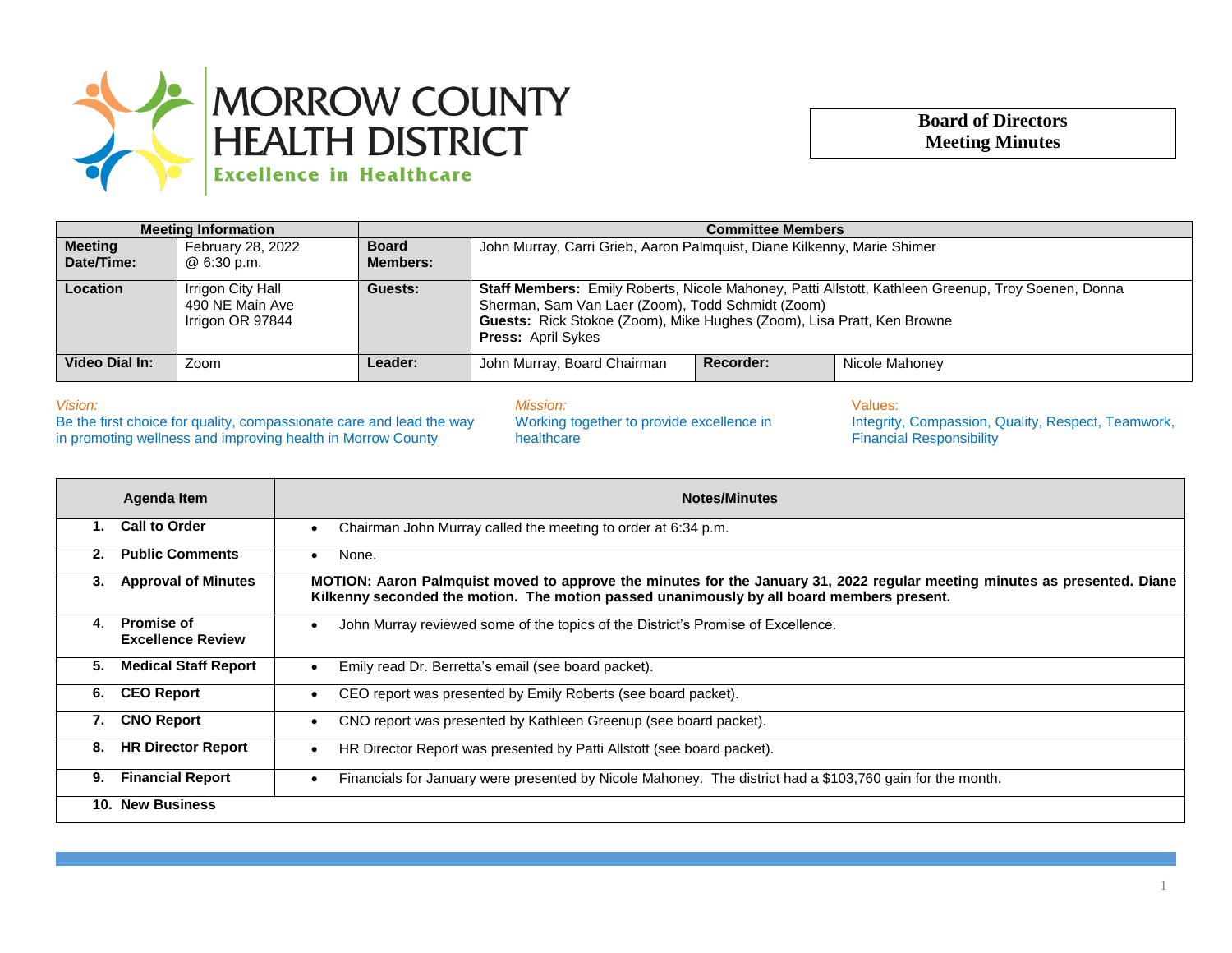

## **Board of Directors Meeting Minutes**

| <b>Meeting Information</b>   |                                                          | <b>Committee Members</b>        |                                                                                                                                                                                                                                                                       |           |                |
|------------------------------|----------------------------------------------------------|---------------------------------|-----------------------------------------------------------------------------------------------------------------------------------------------------------------------------------------------------------------------------------------------------------------------|-----------|----------------|
| <b>Meeting</b><br>Date/Time: | February 28, 2022<br>@ 6:30 p.m.                         | <b>Board</b><br><b>Members:</b> | John Murray, Carri Grieb, Aaron Palmquist, Diane Kilkenny, Marie Shimer                                                                                                                                                                                               |           |                |
| <b>Location</b>              | Irrigon City Hall<br>490 NE Main Ave<br>Irrigon OR 97844 | Guests:                         | <b>Staff Members:</b> Emily Roberts, Nicole Mahoney, Patti Allstott, Kathleen Greenup, Troy Soenen, Donna<br>Sherman, Sam Van Laer (Zoom), Todd Schmidt (Zoom)<br>Guests: Rick Stokoe (Zoom), Mike Hughes (Zoom), Lisa Pratt, Ken Browne<br><b>Press: April Sykes</b> |           |                |
| Video Dial In:               | Zoom                                                     | <b>Leader:</b>                  | John Murray, Board Chairman                                                                                                                                                                                                                                           | Recorder: | Nicole Mahoney |

*Vision:*

Be the first choice for quality, compassionate care and lead the way in promoting wellness and improving health in Morrow County

*Mission:* Working together to provide excellence in healthcare

Values: Integrity, Compassion, Quality, Respect, Teamwork, Financial Responsibility

| Agenda Item                                        | <b>Notes/Minutes</b>                                                                                                                                                                                                   |  |  |  |
|----------------------------------------------------|------------------------------------------------------------------------------------------------------------------------------------------------------------------------------------------------------------------------|--|--|--|
| <b>Call to Order</b>                               | Chairman John Murray called the meeting to order at 6:34 p.m.                                                                                                                                                          |  |  |  |
| <b>Public Comments</b><br>2.                       | None.                                                                                                                                                                                                                  |  |  |  |
| <b>Approval of Minutes</b><br>3.                   | MOTION: Aaron Palmquist moved to approve the minutes for the January 31, 2022 regular meeting minutes as presented. Diane<br>Kilkenny seconded the motion. The motion passed unanimously by all board members present. |  |  |  |
| <b>Promise of</b><br>4<br><b>Excellence Review</b> | John Murray reviewed some of the topics of the District's Promise of Excellence.                                                                                                                                       |  |  |  |
| <b>Medical Staff Report</b><br>5.                  | Emily read Dr. Berretta's email (see board packet).                                                                                                                                                                    |  |  |  |
| <b>CEO Report</b><br>6.                            | CEO report was presented by Emily Roberts (see board packet).                                                                                                                                                          |  |  |  |
| <b>CNO Report</b><br>7.                            | CNO report was presented by Kathleen Greenup (see board packet).                                                                                                                                                       |  |  |  |
| <b>HR Director Report</b><br>8.                    | HR Director Report was presented by Patti Allstott (see board packet).                                                                                                                                                 |  |  |  |
| <b>Financial Report</b><br>9.                      | Financials for January were presented by Nicole Mahoney. The district had a \$103,760 gain for the month.                                                                                                              |  |  |  |
| <b>New Business</b><br>10.                         |                                                                                                                                                                                                                        |  |  |  |